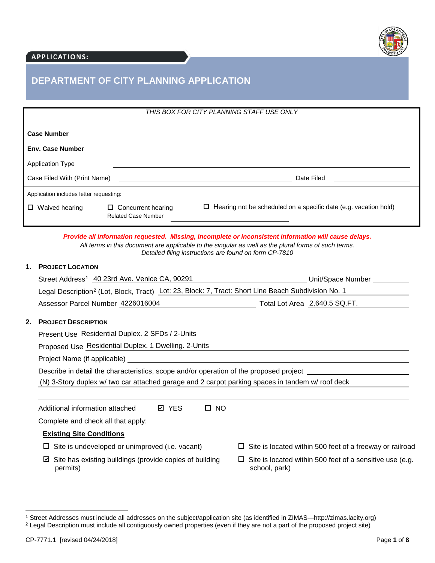

## **APPLICATIONS:**

# **DEPARTMENT OF CITY PLANNING APPLICATION**

| THIS BOX FOR CITY PLANNING STAFF USE ONLY |                                                         |                                                                         |
|-------------------------------------------|---------------------------------------------------------|-------------------------------------------------------------------------|
| <b>Case Number</b>                        |                                                         |                                                                         |
| <b>Env. Case Number</b>                   |                                                         |                                                                         |
| <b>Application Type</b>                   |                                                         |                                                                         |
| Case Filed With (Print Name)              |                                                         | Date Filed                                                              |
| Application includes letter requesting:   |                                                         |                                                                         |
| $\Box$ Waived hearing                     | $\Box$ Concurrent hearing<br><b>Related Case Number</b> | $\Box$ Hearing not be scheduled on a specific date (e.g. vacation hold) |

*Provide all information requested. Missing, incomplete or inconsistent information will cause delays. All terms in this document are applicable to the singular as well as the plural forms of such terms. Detailed filing instructions are found on form CP-7810* 

## **1. PROJECT LOCATION**

|    | Street Address <sup>1</sup> 40 23rd Ave. Venice CA, 90291                                                       | Unit/Space Number _________                                                         |
|----|-----------------------------------------------------------------------------------------------------------------|-------------------------------------------------------------------------------------|
|    | Legal Description <sup>2</sup> (Lot, Block, Tract) Lot: 23, Block: 7, Tract: Short Line Beach Subdivision No. 1 |                                                                                     |
|    | Assessor Parcel Number 4226016004                                                                               | Total Lot Area 2,640.5 SQ.FT.                                                       |
| 2. | <b>PROJECT DESCRIPTION</b>                                                                                      |                                                                                     |
|    | Present Use Residential Duplex. 2 SFDs / 2-Units                                                                |                                                                                     |
|    | Proposed Use Residential Duplex. 1 Dwelling. 2-Units                                                            |                                                                                     |
|    | Project Name (if applicable)                                                                                    |                                                                                     |
|    | Describe in detail the characteristics, scope and/or operation of the proposed project ____________             |                                                                                     |
|    | (N) 3-Story duplex w/ two car attached garage and 2 carpot parking spaces in tandem w/ roof deck                |                                                                                     |
|    | <b>ØYES</b><br>$\square$ NO<br>Additional information attached                                                  |                                                                                     |
|    | Complete and check all that apply:                                                                              |                                                                                     |
|    | <b>Existing Site Conditions</b>                                                                                 |                                                                                     |
|    | Site is undeveloped or unimproved (i.e. vacant)<br>ப                                                            | $\Box$ Site is located within 500 feet of a freeway or railroad                     |
|    | Site has existing buildings (provide copies of building<br>☑<br>permits)                                        | Site is located within 500 feet of a sensitive use (e.g.<br>$\Box$<br>school, park) |
|    |                                                                                                                 |                                                                                     |

<span id="page-0-0"></span><sup>1</sup> Street Addresses must include all addresses on the subject/application site (as identified in ZIMAS—http://zimas.lacity.org)

<span id="page-0-1"></span><sup>&</sup>lt;sup>2</sup> Legal Description must include all contiguously owned properties (even if they are not a part of the proposed project site)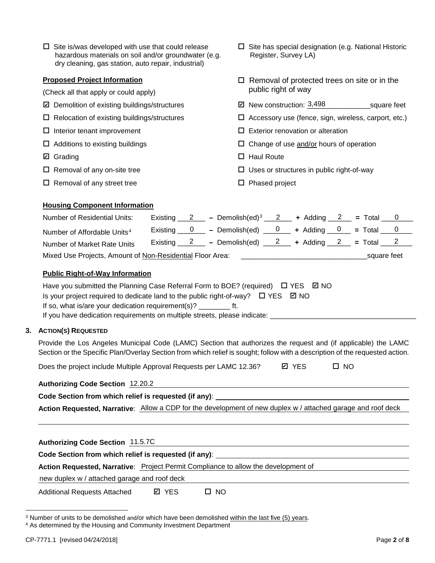| $\Box$ Site is/was developed with use that could release |
|----------------------------------------------------------|
| hazardous materials on soil and/or groundwater (e.g.     |
| dry cleaning, gas station, auto repair, industrial)      |

### **Proposed Project Information**

- (Check all that apply or could apply)
- **Ø** Demolition of existing buildings/structures
- 
- 
- 
- **☑** Grading
- 
- $\Box$  Removal of any street tree  $\Box$  Phased project
- $\square$  Site has special designation (e.g. National Historic Register, Survey LA)
- $\Box$  Removal of protected trees on site or in the public right of way
- $\boxtimes$  New construction: 3,498 square feet
- $\Box$  Relocation of existing buildings/structures  $\Box$  Accessory use (fence, sign, wireless, carport, etc.)
- $\Box$  Interior tenant improvement  $\Box$  Exterior renovation or alteration
- $\Box$  Additions to existing buildings  $\Box$  Change of use and/or hours of operation
	- $\Box$  Haul Route
- $\Box$  Removal of any on-site tree  $\Box$  Uses or structures in public right-of-way
	-

## **Housing Component Information**

| <b>Number of Residential Units:</b>                       |  | Existing 2 - Demolish(ed) <sup>3</sup> 2 + Adding 2 = Total 0 |  |             |  |
|-----------------------------------------------------------|--|---------------------------------------------------------------|--|-------------|--|
| Number of Affordable Units <sup>4</sup>                   |  | Existing $0$ - Demolish(ed) $0$ + Adding $0$ = Total $0$      |  |             |  |
| Number of Market Rate Units                               |  | Existing 2 - Demolish(ed) $2 +$ Adding 2 = Total 2            |  |             |  |
| Mixed Use Projects, Amount of Non-Residential Floor Area: |  |                                                               |  | square feet |  |

## **Public Right-of-Way Information**

| Have you submitted the Planning Case Referral Form to BOE? (required) $\Box$ YES $\boxtimes$ NO |
|-------------------------------------------------------------------------------------------------|
| Is your project required to dedicate land to the public right-of-way? $\Box$ YES $\Box$ NO      |
| If so, what is/are your dedication requirement(s)? The ft.                                      |
| الملمنامين ومومات والممعلوم والمناسوس وروامه ومعاربته والمتاريح المواجها بالمرز الرابي          |

If you have dedication requirements on multiple streets, please indicate:  $\equiv$ 

#### **3. ACTION(S) REQUESTED**

Provide the Los Angeles Municipal Code (LAMC) Section that authorizes the request and (if applicable) the LAMC Section or the Specific Plan/Overlay Section from which relief is sought; follow with a description of the requested action.

Does the project include Multiple Approval Requests per LAMC 12.36?  $\Box$  YES  $\Box$  NO **☑** YES

## **Authorizing Code Section** 12.20.2

### **Code Section from which relief is requested (if any)**:

Action Requested, Narrative: Allow a CDP for the development of new duplex w / attached garage and roof deck

**Authorizing Code Section** 11.5.7C

**Code Section from which relief is requested (if any)**:

**Action Requested, Narrative**: Project Permit Compliance to allow the development of

new duplex w / attached garage and roof deck

Additional Requests Attached **Ø** YES D NO **ØYES** 

<span id="page-1-0"></span><sup>3</sup> Number of units to be demolished and/or which have been demolished within the last five (5) years.

<span id="page-1-1"></span><sup>4</sup> As determined by the Housing and Community Investment Department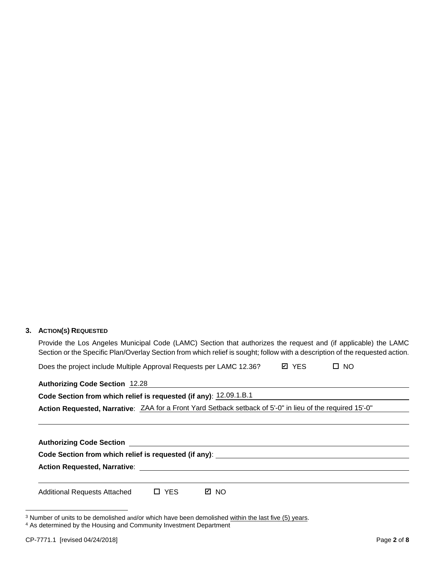## **3. ACTION(S) REQUESTED**

Provide the Los Angeles Municipal Code (LAMC) Section that authorizes the request and (if applicable) the LAMC Section or the Specific Plan/Overlay Section from which relief is sought; follow with a description of the requested action.

| Does the project include Multiple Approval Requests per LAMC 12.36? | Ø YES | $\Box$ NO |
|---------------------------------------------------------------------|-------|-----------|
|---------------------------------------------------------------------|-------|-----------|

# **Authorizing Code Section** 12.28

**Code Section from which relief is requested (if any)**: 12.09.1.B.1

**Action Requested, Narrative**: ZAA for a Front Yard Setback setback of 5'-0" in lieu of the required 15'-0"

| <b>Additional Requests Attached</b> | $\Box$ YES | Ø NO |  |  |  |  |
|-------------------------------------|------------|------|--|--|--|--|

<span id="page-2-0"></span><sup>&</sup>lt;sup>3</sup> Number of units to be demolished and/or which have been demolished within the last five (5) years.

<span id="page-2-1"></span><sup>4</sup> As determined by the Housing and Community Investment Department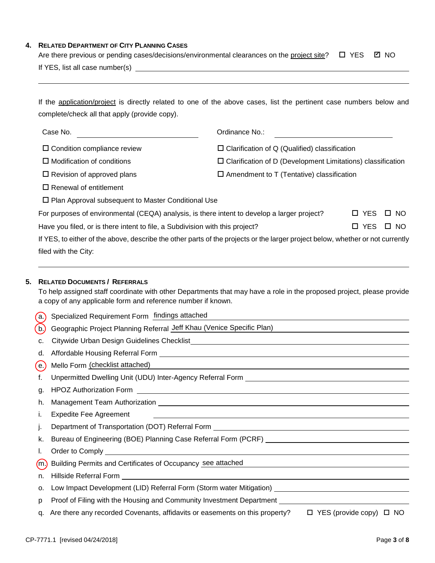#### **4. RELATED DEPARTMENT OF CITY PLANNING CASES**

|                                               | Are there previous or pending cases/decisions/environmental clearances on the project site? $\Box$ YES $\Box$ NO    |  |
|-----------------------------------------------|---------------------------------------------------------------------------------------------------------------------|--|
| If YES, list all case number(s)               |                                                                                                                     |  |
|                                               |                                                                                                                     |  |
|                                               |                                                                                                                     |  |
|                                               | If the application/project is directly related to one of the above cases, list the pertinent case numbers below and |  |
| complete/check all that apply (provide copy). |                                                                                                                     |  |
|                                               |                                                                                                                     |  |
| Case No.                                      | Ordinance No.:                                                                                                      |  |

 $\square$  Condition compliance review  $\square$  Clarification of Q (Qualified) classification

 $\Box$  Modification of conditions  $\Box$  Clarification of D (Development Limitations) classification

 $\Box$  Revision of approved plans  $\Box$  Amendment to T (Tentative) classification

 $\square$  Renewal of entitlement

 $\square$  Plan Approval subsequent to Master Conditional Use

| For purposes of environmental (CEQA) analysis, is there intent to develop a larger project?                                    | $\Box$ YES $\Box$ NO |  |
|--------------------------------------------------------------------------------------------------------------------------------|----------------------|--|
| Have you filed, or is there intent to file, a Subdivision with this project?                                                   | $\Box$ YES $\Box$ NO |  |
| If YES, to either of the above, describe the other parts of the projects or the larger project below, whether or not currently |                      |  |

filed with the City:

### **5. RELATED DOCUMENTS / REFERRALS**

To help assigned staff coordinate with other Departments that may have a role in the proposed project, please provide a copy of any applicable form and reference number if known.

| (a.) Specialized Requirement Form findings attached |  |
|-----------------------------------------------------|--|
|-----------------------------------------------------|--|

| (b)  | Geographic Project Planning Referral Jeff Khau (Venice Specific Plan)                                                                                                                                                          |
|------|--------------------------------------------------------------------------------------------------------------------------------------------------------------------------------------------------------------------------------|
| c.   |                                                                                                                                                                                                                                |
| d.   |                                                                                                                                                                                                                                |
| (e)  | Mello Form (checklist attached)<br>Mello Form (checklist attached)                                                                                                                                                             |
| t.   | Unpermitted Dwelling Unit (UDU) Inter-Agency Referral Form [1942] [2009] [2009] [2009] [2009] [2009] [2009] [2009] [                                                                                                           |
| g.   |                                                                                                                                                                                                                                |
| h.   |                                                                                                                                                                                                                                |
| Τ.   | <b>Expedite Fee Agreement</b><br><u> 1980 - Jan Barbara de Santo de Santo de Santo de Santo de Santo de Santo de Santo de Santo de Santo de Santo </u>                                                                         |
| Ŀ    |                                                                                                                                                                                                                                |
| k.   |                                                                                                                                                                                                                                |
|      |                                                                                                                                                                                                                                |
| (m.) | Building Permits and Certificates of Occupancy see attached                                                                                                                                                                    |
| n.   |                                                                                                                                                                                                                                |
| о.   | Low Impact Development (LID) Referral Form (Storm water Mitigation) _______________________________                                                                                                                            |
| p    | Proof of Filing with the Housing and Community Investment Department Learning Community of Proof of Filing With the Housing and Community Investment Department Learning Community Investment Community Investment Community I |
| q.   | Are there any recorded Covenants, affidavits or easements on this property?<br>$\Box$ YES (provide copy) $\Box$ NO                                                                                                             |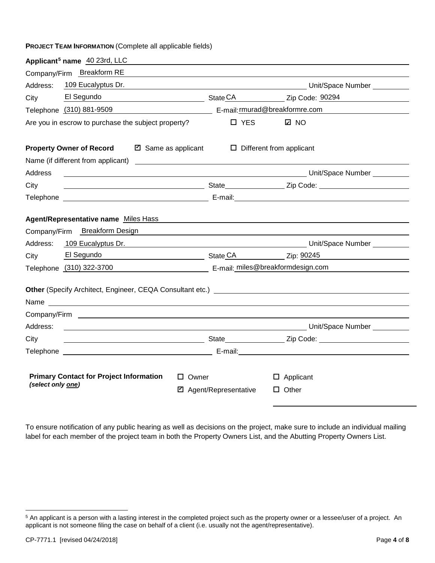**PROJECT TEAM INFORMATION** (Complete all applicable fields)

| Applicant <sup>5</sup> name 40 23rd, LLC                                                                                                                                                                                       |                                                                                                                        |                                                                                                                                                                                                                                  |  |  |  |
|--------------------------------------------------------------------------------------------------------------------------------------------------------------------------------------------------------------------------------|------------------------------------------------------------------------------------------------------------------------|----------------------------------------------------------------------------------------------------------------------------------------------------------------------------------------------------------------------------------|--|--|--|
| Company/Firm Breakform RE                                                                                                                                                                                                      |                                                                                                                        |                                                                                                                                                                                                                                  |  |  |  |
| 109 Eucalyptus Dr.<br>Address:                                                                                                                                                                                                 |                                                                                                                        | Latitude of the Unit/Space Number Community of the Unit of Space Number Community of the Unit of Space Number                                                                                                                    |  |  |  |
| City                                                                                                                                                                                                                           |                                                                                                                        | El Segundo <b>El Segundo El Segundo El Segundo de El Segundo de Salacea el Segundo de Salacea el Salacea el Salacea el Salacea el Salacea el Salacea el Salacea el Salacea el Salacea el Salacea el Salacea el Salacea el Sa</b> |  |  |  |
| Telephone (310) 881-9509 example E-mail: murad@breakformre.com                                                                                                                                                                 |                                                                                                                        |                                                                                                                                                                                                                                  |  |  |  |
| Are you in escrow to purchase the subject property?                                                                                                                                                                            | $\Box$ YES                                                                                                             | <b>Ø</b> NO                                                                                                                                                                                                                      |  |  |  |
| <b>Property Owner of Record</b>                                                                                                                                                                                                | <b>Ø</b> Same as applicant                                                                                             | $\Box$ Different from applicant                                                                                                                                                                                                  |  |  |  |
|                                                                                                                                                                                                                                |                                                                                                                        |                                                                                                                                                                                                                                  |  |  |  |
| Address                                                                                                                                                                                                                        |                                                                                                                        | er and the control of the control of the control of the control of the control of the control of the control o                                                                                                                   |  |  |  |
| City                                                                                                                                                                                                                           |                                                                                                                        |                                                                                                                                                                                                                                  |  |  |  |
|                                                                                                                                                                                                                                |                                                                                                                        |                                                                                                                                                                                                                                  |  |  |  |
|                                                                                                                                                                                                                                |                                                                                                                        |                                                                                                                                                                                                                                  |  |  |  |
| <b>Agent/Representative name Miles Hass</b>                                                                                                                                                                                    |                                                                                                                        |                                                                                                                                                                                                                                  |  |  |  |
| Company/Firm Breakform Design                                                                                                                                                                                                  | <u> 1989 - Johann Stoff, deutscher Stoffen und der Stoffen und der Stoffen und der Stoffen und der Stoffen und der</u> |                                                                                                                                                                                                                                  |  |  |  |
| Address: 109 Eucalyptus Dr. 2008 Contract Description Contract Description Contract Description Description De                                                                                                                 |                                                                                                                        |                                                                                                                                                                                                                                  |  |  |  |
| City                                                                                                                                                                                                                           |                                                                                                                        | El Segundo <b>El Segundo</b> estate contrar el state CA el estate de Zip: 90245                                                                                                                                                  |  |  |  |
| Telephone (310) 322-3700 E-mail: miles@breakformdesign.com                                                                                                                                                                     |                                                                                                                        |                                                                                                                                                                                                                                  |  |  |  |
| Other (Specify Architect, Engineer, CEQA Consultant etc.) [2012] [2012] [2012] [2012] [2012] [2012] [2012] [2012] [2012] [2012] [2012] [2012] [2012] [2012] [2012] [2012] [2012] [2012] [2012] [2012] [2012] [2012] [2012] [20 |                                                                                                                        |                                                                                                                                                                                                                                  |  |  |  |
| Name and the contract of the contract of the contract of the contract of the contract of the contract of the contract of the contract of the contract of the contract of the contract of the contract of the contract of the c |                                                                                                                        |                                                                                                                                                                                                                                  |  |  |  |
|                                                                                                                                                                                                                                |                                                                                                                        |                                                                                                                                                                                                                                  |  |  |  |
| Address:                                                                                                                                                                                                                       |                                                                                                                        |                                                                                                                                                                                                                                  |  |  |  |
| City                                                                                                                                                                                                                           |                                                                                                                        |                                                                                                                                                                                                                                  |  |  |  |
|                                                                                                                                                                                                                                |                                                                                                                        |                                                                                                                                                                                                                                  |  |  |  |
| <b>Primary Contact for Project Information</b><br>$\Box$ Owner<br>$\Box$ Applicant                                                                                                                                             |                                                                                                                        |                                                                                                                                                                                                                                  |  |  |  |
| (select only one)                                                                                                                                                                                                              | ■ Agent/Representative                                                                                                 | $\Box$ Other                                                                                                                                                                                                                     |  |  |  |
|                                                                                                                                                                                                                                |                                                                                                                        |                                                                                                                                                                                                                                  |  |  |  |

To ensure notification of any public hearing as well as decisions on the project, make sure to include an individual mailing label for each member of the project team in both the Property Owners List, and the Abutting Property Owners List.

<span id="page-4-0"></span><sup>5</sup> An applicant is a person with a lasting interest in the completed project such as the property owner or a lessee/user of a project. An applicant is not someone filing the case on behalf of a client (i.e. usually not the agent/representative).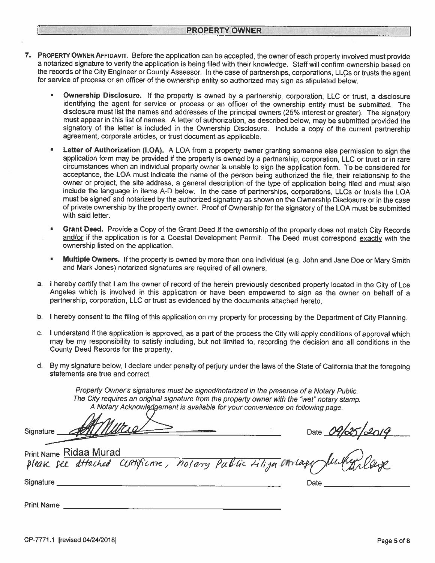- 7. PROPERTY OWNER AFFIDAVIT. Before the application can be accepted, the owner of each property involved must provide a notarized signature to verify the application is being filed with their knowledge. Staff will confirm ownership based on the records of the City Engineer or County Assessor. In the case of partnerships, corporations, LLCs or trusts the agent for service of process or an officer of the ownership entity so authorized may sign as stipulated below.
	- Ownership Disclosure. If the property is owned by a partnership, corporation, LLC or trust, a disclosure  $\mathbf{u}$ identifying the agent for service or process or an officer of the ownership entity must be submitted. The disclosure must list the names and addresses of the principal owners (25% interest or greater). The signatory must appear in this list of names. A letter of authorization, as described below, may be submitted provided the signatory of the letter is included in the Ownership Disclosure. Include a copy of the current partnership agreement, corporate articles, or trust document as applicable.
	- Letter of Authorization (LOA). A LOA from a property owner granting someone else permission to sign the application form may be provided if the property is owned by a partnership, corporation, LLC or trust or in rare circumstances when an individual property owner is unable to sign the application form. To be considered for acceptance, the LOA must indicate the name of the person being authorized the file, their relationship to the owner or project, the site address, a general description of the type of application being filed and must also include the language in items A-D below. In the case of partnerships, corporations, LLCs or trusts the LOA must be signed and notarized by the authorized signatory as shown on the Ownership Disclosure or in the case of private ownership by the property owner. Proof of Ownership for the signatory of the LOA must be submitted with said letter.
	- Grant Deed. Provide a Copy of the Grant Deed If the ownership of the property does not match City Records and/or if the application is for a Coastal Development Permit. The Deed must correspond exactly with the ownership listed on the application.
	- Multiple Owners. If the property is owned by more than one individual (e.g. John and Jane Doe or Mary Smith and Mark Jones) notarized signatures are required of all owners.
	- a. I hereby certify that I am the owner of record of the herein previously described property located in the City of Los Angeles which is involved in this application or have been empowered to sign as the owner on behalf of a partnership, corporation, LLC or trust as evidenced by the documents attached hereto.
	- b. I hereby consent to the filing of this application on my property for processing by the Department of City Planning.
	- c. I understand if the application is approved, as a part of the process the City will apply conditions of approval which may be my responsibility to satisfy including, but not limited to, recording the decision and all conditions in the County Deed Records for the property.
	- d. By my signature below, I declare under penalty of perjury under the laws of the State of California that the foregoing statements are true and correct.

Property Owner's signatures must be signed/notarized in the presence of a Notary Public. The City requires an original signature from the property owner with the "wet" notary stamp. A Notary Acknowledgement is available for your convenience on following page.

Signature <u>CONSILIANCED</u><br>Print Name Ridaa Murad<br>Pleak fee difached CURTIFICATE, notary Public Liliga anriage furthyplange **Print Name Ridaa Murad** Signature \_\_\_ Date

**Print Name** Prince the second service of the service of the service of the service of the service of the service of the service of the service of the service of the service of the service of the service of the service of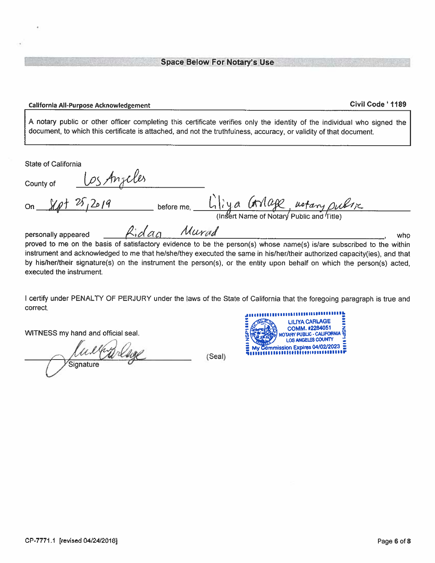#### California All-Purpose Acknowledgement

#### Civil Code ' 1189

A notary public or other officer completing this certificate verifies only the identity of the individual who signed the document, to which this certificate is attached, and not the truthfulness, accuracy, or validity of that document.

State of California

| County of           | Los Anjeles |             |            |  |                                                                          |     |
|---------------------|-------------|-------------|------------|--|--------------------------------------------------------------------------|-----|
| on $80 + 2612019$   |             |             | before me, |  | Lliya Corrage, notary public<br>(Insert Name of Notary Public and Title) |     |
| personally appeared |             | Ridge Murad |            |  |                                                                          | who |

personally appeared  $4.0a$ who proved to me on the basis of satisfactory evidence to be the person(s) whose name(s) is/are subscribed to the within instrument and acknowledged to me that he/she/they executed the same in his/her/their authorized capacity(ies), and that by his/her/their signature(s) on the instrument the person(s), or the entity upon behalf on which the person(s) acted, executed the instrument.

I certify under PENALTY OF PERJURY under the laws of the State of California that the foregoing paragraph is true and correct.

(Seal)

WITNESS my hand and official seal.

Warlage Signature

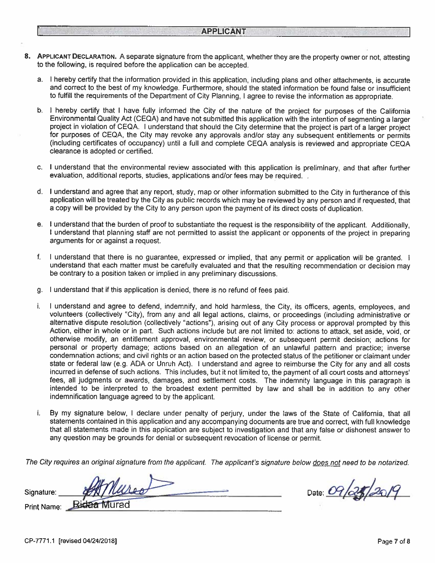- 8. APPLICANT DECLARATION. A separate signature from the applicant, whether they are the property owner or not, attesting to the following, is required before the application can be accepted.
	- a. I hereby certify that the information provided in this application, including plans and other attachments, is accurate and correct to the best of my knowledge. Furthermore, should the stated information be found false or insufficient to fulfill the requirements of the Department of City Planning, I agree to revise the information as appropriate.
	- b. I hereby certify that I have fully informed the City of the nature of the project for purposes of the California Environmental Quality Act (CEQA) and have not submitted this application with the intention of segmenting a larger project in violation of CEQA. I understand that should the City determine that the project is part of a larger project for purposes of CEQA, the City may revoke any approvals and/or stay any subsequent entitlements or permits (including certificates of occupancy) until a full and complete CEQA analysis is reviewed and appropriate CEQA clearance is adopted or certified.
	- c. I understand that the environmental review associated with this application is preliminary, and that after further evaluation, additional reports, studies, applications and/or fees may be required.
	- d. I understand and agree that any report, study, map or other information submitted to the City in furtherance of this application will be treated by the City as public records which may be reviewed by any person and if requested, that a copy will be provided by the City to any person upon the payment of its direct costs of duplication.
	- e. I understand that the burden of proof to substantiate the request is the responsibility of the applicant. Additionally, I understand that planning staff are not permitted to assist the applicant or opponents of the project in preparing arguments for or against a request.
	- $f_{\cdot}$ I understand that there is no guarantee, expressed or implied, that any permit or application will be granted. I understand that each matter must be carefully evaluated and that the resulting recommendation or decision may be contrary to a position taken or implied in any preliminary discussions.
	- g. I understand that if this application is denied, there is no refund of fees paid.

and the control of the control of the control of the control of the control of the control of the control of the

- j. I understand and agree to defend, indemnify, and hold harmless, the City, its officers, agents, employees, and volunteers (collectively "City), from any and all legal actions, claims, or proceedings (including administrative or alternative dispute resolution (collectively "actions"), arising out of any City process or approval prompted by this Action, either in whole or in part. Such actions include but are not limited to: actions to attack, set aside, void, or otherwise modify, an entitlement approval, environmental review, or subsequent permit decision; actions for personal or property damage; actions based on an allegation of an unlawful pattern and practice; inverse condemnation actions; and civil rights or an action based on the protected status of the petitioner or claimant under state or federal law (e.g. ADA or Unruh Act). I understand and agree to reimburse the City for any and all costs incurred in defense of such actions. This includes, but it not limited to, the payment of all court costs and attorneys' fees, all judgments or awards, damages, and settlement costs. The indemnity language in this paragraph is intended to be interpreted to the broadest extent permitted by law and shall be in addition to any other indemnification language agreed to by the applicant.
- By my signature below, I declare under penalty of perjury, under the laws of the State of California, that all i. statements contained in this application and any accompanying documents are true and correct, with full knowledge that all statements made in this application are subject to investigation and that any false or dishonest answer to any question may be grounds for denial or subsequent revocation of license or permit.

The City requires an original signature from the applicant. The applicant's signature below does not need to be notarized.

Signature: **Bidaa Murad** Print Name:

Date: 09/25/2019

CP-7771.1 [revised 04/24/2018]